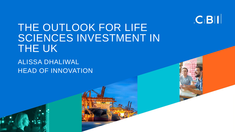

# THE OUTLOOK FOR LIFE SCIENCES INVESTMENT IN THE UK

ALISSA DHALIWAL HEAD OF INNOVATION

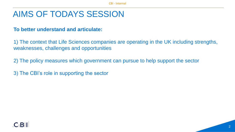## AIMS OF TODAYS SESSION

### **To better understand and articulate:**

1) The context that Life Sciences companies are operating in the UK including strengths, weaknesses, challenges and opportunities

2) The policy measures which government can pursue to help support the sector

3) The CBI's role in supporting the sector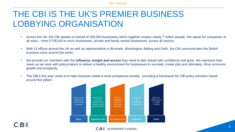## THE CBI IS THE UK'S PREMIER BUSINESS LOBBYING ORGANISATION

- Across the UK, the CBI speaks on behalf of 190,000 businesses which together employ nearly 7 million people. We speak for companies of all sizes – from FTSE100 to micro businesses, private and family owned businesses, across all sectors.
- With 13 offices around the UK as well as representation in Brussels, Washington, Beijing and Delhi, the CBI communicates the British business voice around the world.
- We provide our members with the **influence, insight and access** they need to plan ahead with confidence and grow. We represent their views as we work with policymakers to deliver a healthy environment for businesses to succeed, create jobs and ultimately, drive economic growth and prosperity.
- The CBI's five year vision is to help business create a more prosperous society, providing a framework for CBI policy priorities based around five pillars:



C<sub>I</sub>BII UK PROSPERITY AGENDA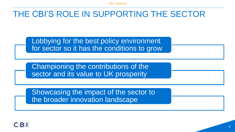## THE CBI'S ROLE IN SUPPORTING THE SECTOR

Lobbying for the best policy environment for sector so it has the conditions to grow

Championing the contributions of the sector and its value to UK prosperity

Showcasing the impact of the sector to the broader innovation landscape

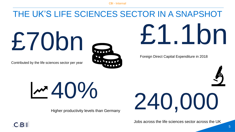# THE UK'S LIFE SCIENCES SECTOR IN A SNAPSHOT

£70bn

Contributed by the life sciences sector per year



£1.1bn

Foreign Direct Capital Expenditure in 2018



 $140%$ 

Higher productivity levels than Germany



Jobs across the life sciences sector across the UK

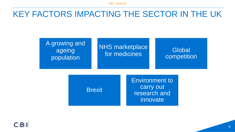## KEY FACTORS IMPACTING THE SECTOR IN THE UK

### NHS marketplace for medicines Global<br>for medicines

**Brexit** 

A growing and ageing population

> Environment to carry out research and innovate

competition

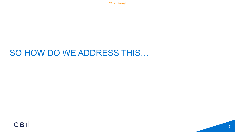## SO HOW DO WE ADDRESS THIS…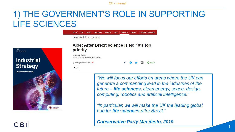**Tech** 

Science

**Health** 

## 1) THE GOVERNMENT'S ROLE IN SUPPORTING LIFE SCIENCES

**Politics** 

Ruginege



 $C$ <sub>BII</sub>

### Aide: After Brexit science is No 10's top priority

By Pallab Ghosh Science correspondent, BBC News

Science & Environment

① 30 September 2019 | 日

 $\leq$  Share

**Brexit** 

*"We will focus our efforts on areas where the UK can generate a commanding lead in the industries of the future – life sciences, clean energy, space, design, computing, robotics and artificial intelligence."*

**Family & Education** 

*"In particular, we will make the UK the leading global hub for life sciences after Brexit."*

*Conservative Party Manifesto, 2019*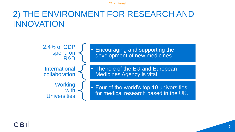## 2) THE ENVIRONMENT FOR RESEARCH AND INNOVATION

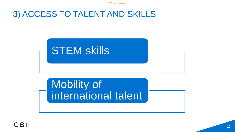## 3) ACCESS TO TALENT AND SKILLS



Mobility of international talent

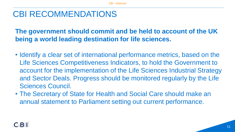## CBI RECOMMENDATIONS

**The government should commit and be held to account of the UK being a world leading destination for life sciences.** 

- Identify a clear set of international performance metrics, based on the Life Sciences Competitiveness Indicators, to hold the Government to account for the implementation of the Life Sciences Industrial Strategy and Sector Deals. Progress should be monitored regularly by the Life Sciences Council.
- The Secretary of State for Health and Social Care should make an annual statement to Parliament setting out current performance.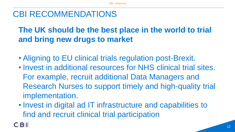## CBI RECOMMENDATIONS

## **The UK should be the best place in the world to trial and bring new drugs to market**

- Aligning to EU clinical trials regulation post-Brexit.
- Invest in additional resources for NHS clinical trial sites. For example, recruit additional Data Managers and Research Nurses to support timely and high-quality trial implementation.
- Invest in digital ad IT infrastructure and capabilities to find and recruit clinical trial participation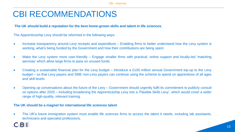## CBI RECOMMENDATIONS

#### **The UK should build a reputation for the best home-grown skills and talent in life sciences.**

The Apprenticeship Levy should be reformed in the following ways:

- Increase transparency around Levy receipts and expenditure Enabling firms to better understand how the Levy system is working, what's being funded by the Government and how their contributions are being spent
- Make the Levy system more user-friendly Engage smaller firms with practical, online support and locally-led 'matching services' which allow large firms to pass on unused funds
- Creating a sustainable financial plan for the Levy budget Introduce a £100 million annual Government top-up to the Levy budget – so that Levy payers and SME non-Levy payers can continue using the scheme to spend on apprentices of all ages and skill levels
- Opening up conversations about the future of the Levy Government should urgently fulfil its commitment to publicly consult on options after 2020 – including broadening the Apprenticeship Levy into a 'Flexible Skills Levy', which would cover a wider range of high-quality, relevant training.

#### **The UK should be a magnet for international life sciences talent**

• The UK's future immigration system must enable life sciences firms to access the talent it needs, including lab assistants, technicians and specialist professions.

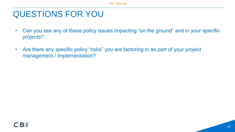## QUESTIONS FOR YOU

- Can you see any of these policy issues impacting "on the ground" and in your specific projects?
- Are there any specific policy "risks" you are factoring in as part of your project management / implementation?